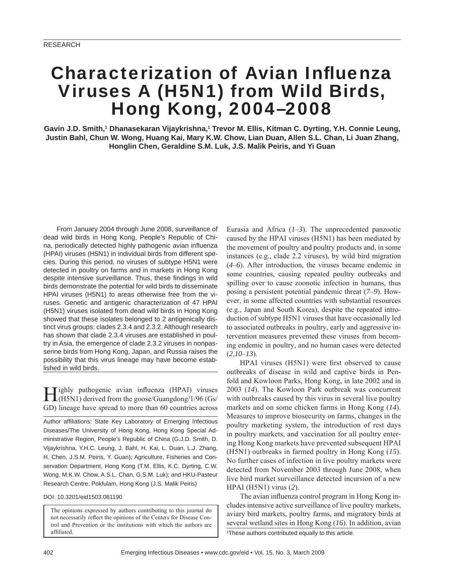# **Characterization of Avian Influenza** Viruses A (H5N1) from Wild Birds, Hong Kong, 2004–2008

Gavin J.D. Smith,<sup>1</sup> Dhanasekaran Vijaykrishna,<sup>1</sup> Trevor M. Ellis, Kitman C. Dyrting, Y.H. Connie Leung, **Justin Bahl, Chun W. Wong, Huang Kai, Mary K.W. Chow, Lian Duan, Allen S.L. Chan, Li Juan Zhang, Honglin Chen, Geraldine S.M. Luk, J.S. Malik Peiris, and Yi Guan**

From January 2004 through June 2008, surveillance of dead wild birds in Hong Kong, People's Republic of China, periodically detected highly pathogenic avian influenza (HPAI) viruses (H5N1) in individual birds from different species. During this period, no viruses of subtype H5N1 were detected in poultry on farms and in markets in Hong Kong despite intensive surveillance. Thus, these findings in wild birds demonstrate the potential for wild birds to disseminate HPAI viruses (H5N1) to areas otherwise free from the viruses. Genetic and antigenic characterization of 47 HPAI (H5N1) viruses isolated from dead wild birds in Hong Kong showed that these isolates belonged to 2 antigenically distinct virus groups: clades 2.3.4 and 2.3.2. Although research has shown that clade 2.3.4 viruses are established in poultry in Asia, the emergence of clade 2.3.2 viruses in nonpasserine birds from Hong Kong, Japan, and Russia raises the possibility that this virus lineage may have become established in wild birds.

Tighly pathogenic avian influenza (HPAI) viruses (H5N1) derived from the goose/Guangdong/1/96 (Gs/ GD) lineage have spread to more than 60 countries across

Author affiliations: State Key Laboratory of Emerging Infectious Diseases/The University of Hong Kong, Hong Kong Special Administrative Region, People's Republic of China (G.J.D. Smith, D. Vijaykrishna, Y.H.C. Leung, J. Bahl, H. Kai, L. Duan, L.J. Zhang, H. Chen, J.S.M. Peiris, Y. Guan); Agriculture, Fisheries and Conservation Department, Hong Kong (T.M. Ellis, K.C. Dyrting, C.W. Wong, M.K.W. Chow, A.S.L. Chan, G.S.M. Luk); and HKU-Pasteur Research Centre, Pokfulam, Hong Kong (J.S. Malik Peiris)

DOI: 10.3201/eid1503.081190

The opinions expressed by authors contributing to this journal do not necessarily reflect the opinions of the Centers for Disease Control and Prevention or the institutions with which the authors are affiliated.

Eurasia and Africa (*1*–*3*). The unprecedented panzootic caused by the HPAI viruses (H5N1) has been mediated by the movement of poultry and poultry products and, in some instances (e.g., clade 2.2 viruses), by wild bird migration (*4*–*6*). After introduction, the viruses became endemic in some countries, causing repeated poultry outbreaks and spilling over to cause zoonotic infection in humans, thus posing a persistent potential pandemic threat (*7*–*9*). However, in some affected countries with substantial resources (e.g., Japan and South Korea), despite the repeated introduction of subtype H5N1 viruses that have occasionally led to associated outbreaks in poultry, early and aggressive intervention measures prevented these viruses from becoming endemic in poultry, and no human cases were detected (*2*,*10*–*13*).

HPAI viruses (H5N1) were first observed to cause outbreaks of disease in wild and captive birds in Penfold and Kowloon Parks, Hong Kong, in late 2002 and in 2003 (*14*). The Kowloon Park outbreak was concurrent with outbreaks caused by this virus in several live poultry markets and on some chicken farms in Hong Kong (*14*). Measures to improve biosecurity on farms, changes in the poultry marketing system, the introduction of rest days in poultry markets, and vaccination for all poultry entering Hong Kong markets have prevented subsequent HPAI (H5N1) outbreaks in farmed poultry in Hong Kong (*15*). No further cases of infection in live poultry markets were detected from November 2003 through June 2008, when live bird market surveillance detected incursion of a new HPAI (H5N1) virus (*2*).

The avian influenza control program in Hong Kong includes intensive active surveillance of live poultry markets, aviary bird markets, poultry farms, and migratory birds at several wetland sites in Hong Kong (*16*). In addition, avian

<sup>1</sup>These authors contributed equally to this article.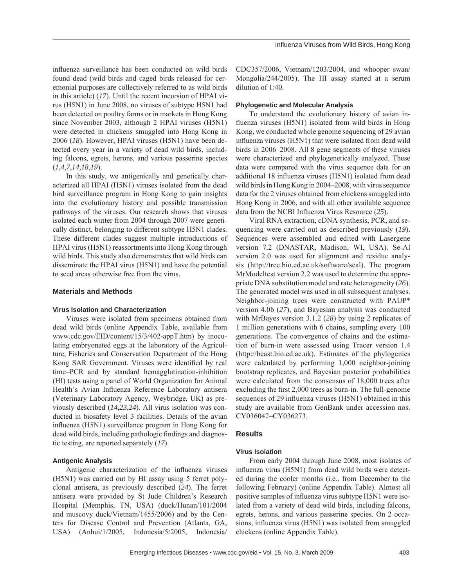influenza surveillance has been conducted on wild birds found dead (wild birds and caged birds released for ceremonial purposes are collectively referred to as wild birds in this article) (*17*). Until the recent incursion of HPAI virus (H5N1) in June 2008, no viruses of subtype H5N1 had been detected on poultry farms or in markets in Hong Kong since November 2003, although 2 HPAI viruses (H5N1) were detected in chickens smuggled into Hong Kong in 2006 (*18*). However, HPAI viruses (H5N1) have been detected every year in a variety of dead wild birds, including falcons, egrets, herons, and various passerine species (*1*,*4*,*7*,*14*,*18*,*19*).

In this study, we antigenically and genetically characterized all HPAI (H5N1) viruses isolated from the dead bird surveillance program in Hong Kong to gain insights into the evolutionary history and possible transmission pathways of the viruses. Our research shows that viruses isolated each winter from 2004 through 2007 were genetically distinct, belonging to different subtype H5N1 clades. These different clades suggest multiple introductions of HPAI virus (H5N1) reassortments into Hong Kong through wild birds. This study also demonstrates that wild birds can disseminate the HPAI virus (H5N1) and have the potential to seed areas otherwise free from the virus.

#### **Materials and Methods**

#### **Virus Isolation and Characterization**

Viruses were isolated from specimens obtained from dead wild birds (online Appendix Table, available from www.cdc.gov/EID/content/15/3/402-appT.htm) by inoculating embryonated eggs at the laboratory of the Agriculture, Fisheries and Conservation Department of the Hong Kong SAR Government. Viruses were identified by real time–PCR and by standard hemagglutination-inhibition (HI) tests using a panel of World Organization for Animal Health's Avian Influenza Reference Laboratory antisera (Veterinary Laboratory Agency, Weybridge, UK) as previously described (*14*,*23*,*24*). All virus isolation was conducted in biosafety level 3 facilities. Details of the avian influenza (H5N1) surveillance program in Hong Kong for dead wild birds, including pathologic findings and diagnostic testing, are reported separately (*17*).

## **Antigenic Analysis**

Antigenic characterization of the influenza viruses (H5N1) was carried out by HI assay using 5 ferret polyclonal antisera, as previously described (*24*). The ferret antisera were provided by St Jude Children's Research Hospital (Memphis, TN, USA) (duck/Hunan/101/2004 and muscovy duck/Vietnam/1455/2006) and by the Centers for Disease Control and Prevention (Atlanta, GA, USA) (Anhui/1/2005, Indonesia/5/2005, Indonesia/

CDC357/2006, Vietnam/1203/2004, and whooper swan/ Mongolia/244/2005). The HI assay started at a serum dilution of 1:40.

#### **Phylogenetic and Molecular Analysis**

To understand the evolutionary history of avian influenza viruses (H5N1) isolated from wild birds in Hong Kong, we conducted whole genome sequencing of 29 avian influenza viruses (H5N1) that were isolated from dead wild birds in 2006–2008. All 8 gene segments of these viruses were characterized and phylogenetically analyzed. These data were compared with the virus sequence data for an additional 18 influenza viruses (H5N1) isolated from dead wild birds in Hong Kong in 2004–2008, with virus sequence data for the 2 viruses obtained from chickens smuggled into Hong Kong in 2006, and with all other available sequence data from the NCBI Influenza Virus Resource (25).

Viral RNA extraction, cDNA synthesis, PCR, and sequencing were carried out as described previously (*19*). Sequences were assembled and edited with Lasergene version 7.2 (DNASTAR, Madison, WI, USA). Se-Al version 2.0 was used for alignment and residue analysis (http://tree.bio.ed.ac.uk/software/seal). The program MrModeltest version 2.2 was used to determine the appropriate DNA substitution model and rate heterogeneity (*26*). The generated model was used in all subsequent analyses. Neighbor-joining trees were constructed with PAUP\* version 4.0b (*27*), and Bayesian analysis was conducted with MrBayes version 3.1.2 (*28*) by using 2 replicates of 1 million generations with 6 chains, sampling every 100 generations. The convergence of chains and the estimation of burn-in were assessed using Tracer version 1.4 (http://beast.bio.ed.ac.uk). Estimates of the phylogenies were calculated by performing 1,000 neighbor-joining bootstrap replicates, and Bayesian posterior probabilities were calculated from the consensus of 18,000 trees after excluding the first 2,000 trees as burn-in. The full-genome sequences of 29 influenza viruses (H5N1) obtained in this study are available from GenBank under accession nos. CY036042–CY036273.

#### **Results**

#### **Virus Isolation**

From early 2004 through June 2008, most isolates of influenza virus (H5N1) from dead wild birds were detected during the cooler months (i.e., from December to the following February) (online Appendix Table). Almost all positive samples of influenza virus subtype H5N1 were isolated from a variety of dead wild birds, including falcons, egrets, herons, and various passerine species. On 2 occasions, influenza virus (H5N1) was isolated from smuggled chickens (online Appendix Table).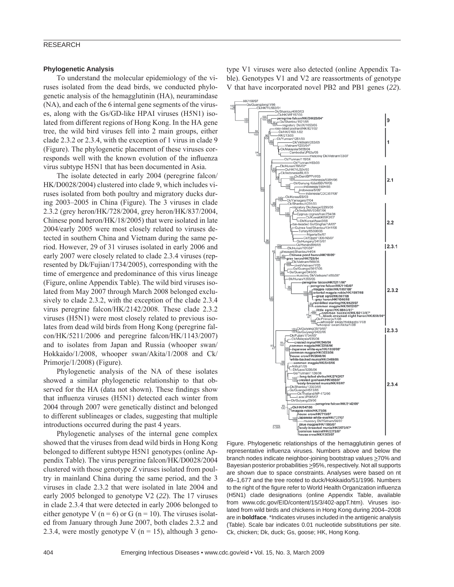#### RESEARCH

#### **Phylogenetic Analysis**

To understand the molecular epidemiology of the viruses isolated from the dead birds, we conducted phylogenetic analysis of the hemagglutinin (HA), neuramindase (NA), and each of the 6 internal gene segments of the viruses, along with the Gs/GD-like HPAI viruses (H5N1) isolated from different regions of Hong Kong. In the HA gene tree, the wild bird viruses fell into 2 main groups, either clade 2.3.2 or 2.3.4, with the exception of 1 virus in clade 9 (Figure). The phylogenetic placement of these viruses corresponds well with the known evolution of the influenza virus subtype H5N1 that has been documented in Asia.

The isolate detected in early 2004 (peregrine falcon/ HK/D0028/2004) clustered into clade 9, which includes viruses isolated from both poultry and migratory ducks during 2003–2005 in China (Figure). The 3 viruses in clade 2.3.2 (grey heron/HK/728/2004, grey heron/HK/837/2004, Chinese pond heron/HK/18/2005) that were isolated in late 2004/early 2005 were most closely related to viruses detected in southern China and Vietnam during the same period. However, 29 of 31 viruses isolated in early 2006 and early 2007 were closely related to clade 2.3.4 viruses (represented by Dk/Fujian/1734/2005), corresponding with the time of emergence and predominance of this virus lineage (Figure, online Appendix Table). The wild bird viruses isolated from May 2007 through March 2008 belonged exclusively to clade 2.3.2, with the exception of the clade 2.3.4 virus peregrine falcon/HK/2142/2008. These clade 2.3.2 viruses (H5N1) were most closely related to previous isolates from dead wild birds from Hong Kong (peregrine falcon/HK/5211/2006 and peregrine falcon/HK/1143/2007) and to isolates from Japan and Russia (whooper swan/ Hokkaido/1/2008, whooper swan/Akita/1/2008 and Ck/ Primorje/1/2008) (Figure).

Phylogenetic analysis of the NA of these isolates showed a similar phylogenetic relationship to that observed for the HA (data not shown). These findings show that influenza viruses (H5N1) detected each winter from 2004 through 2007 were genetically distinct and belonged to different sublineages or clades, suggesting that multiple introductions occurred during the past 4 years.

Phylogenetic analyses of the internal gene complex showed that the viruses from dead wild birds in Hong Kong belonged to different subtype H5N1 genotypes (online Appendix Table). The virus peregrine falcon/HK/D0028/2004 clustered with those genotype Z viruses isolated from poultry in mainland China during the same period, and the 3 viruses in clade 2.3.2 that were isolated in late 2004 and early 2005 belonged to genotype V2 (*22*). The 17 viruses in clade 2.3.4 that were detected in early 2006 belonged to either genotype V ( $n = 6$ ) or G ( $n = 10$ ). The viruses isolated from January through June 2007, both clades 2.3.2 and 2.3.4, were mostly genotype V ( $n = 15$ ), although 3 geno-

type V1 viruses were also detected (online Appendix Table). Genotypes V1 and V2 are reassortments of genotype V that have incorporated novel PB2 and PB1 genes (*22*).



representative influenza viruses. Numbers above and below the branch nodes indicate neighbor-joining bootstrap values >70% and Bayesian posterior probabilities >95%, respectively. Not all supports are shown due to space constraints. Analyses were based on nt 49–1,677 and the tree rooted to duck/Hokkaido/51/1996. Numbers to the right of the figure refer to World Health Organization influenza (H5N1) clade designations (online Appendix Table, available from www.cdc.gov/EID/content/15/3/402-appT.htm). Viruses isolated from wild birds and chickens in Hong Kong during 2004–2008 are in **boldface**. \*Indicates viruses included in the antigenic analysis (Table). Scale bar indicates 0.01 nucleotide substitutions per site. Ck, chicken; Dk, duck; Gs, goose; HK, Hong Kong.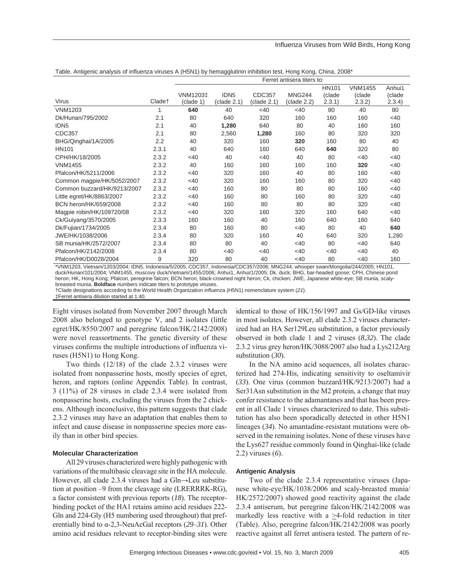#### Influenza Viruses from Wild Birds, Hong Kong

Table. Antigenic analysis of influenza viruses A (H5N1) by hemagglutinin inhibition test, Hong Kong, China, 2008\*

|                             |                    | Ferret antisera titers to: |                  |             |               |              |                |        |
|-----------------------------|--------------------|----------------------------|------------------|-------------|---------------|--------------|----------------|--------|
|                             |                    |                            |                  |             |               | <b>HN101</b> | <b>VNM1455</b> | Anhui1 |
|                             |                    | VNM1203‡                   | IDN <sub>5</sub> | CDC357      | <b>MNG244</b> | (clade       | (clade         | (clade |
| Virus                       | Clade <sup>+</sup> | (clade 1)                  | (clade 2.1)      | (clade 2.1) | (clade 2.2)   | 2.3.1)       | 2.3.2)         | 2.3.4) |
| <b>VNM1203</b>              |                    | 640                        | 40               | <40         | <40           | 80           | 40             | 80     |
| Dk/Hunan/795/2002           | 2.1                | 80                         | 640              | 320         | 160           | 160          | 160            | $<$ 40 |
| IDN <sub>5</sub>            | 2.1                | 40                         | 1,280            | 640         | 80            | 40           | 160            | 160    |
| CDC357                      | 2.1                | 80                         | 2,560            | 1,280       | 160           | 80           | 320            | 320    |
| BHG/Qinghai/1A/2005         | 2.2                | 40                         | 320              | 160         | 320           | 160          | 80             | 40     |
| <b>HN101</b>                | 2.3.1              | 40                         | 640              | 160         | 640           | 640          | 320            | 80     |
| CPH/HK/18/2005              | 2.3.2              | <40                        | 40               | <40         | 40            | 80           | <40            | <40    |
| <b>VNM1455</b>              | 2.3.2              | 40                         | 160              | 160         | 160           | 160          | 320            | $<$ 40 |
| Pfalcon/HK/5211/2006        | 2.3.2              | <40                        | 320              | 160         | 40            | 80           | 160            | <40    |
| Common magpie/HK/5052/2007  | 2.3.2              | <40                        | 320              | 160         | 160           | 80           | 320            | $<$ 40 |
| Common buzzard/HK/9213/2007 | 2.3.2              | <40                        | 160              | 80          | 80            | 80           | 160            | <40    |
| Little egret/HK/8863/2007   | 2.3.2              | <40                        | 160              | 80          | 160           | 80           | 320            | <40    |
| BCN heron/HK/659/2008       | 2.3.2              | <40                        | 160              | 80          | 80            | 80           | 320            | <40    |
| Magpie robin/HK/109720/08   | 2.3.2              | <40                        | 320              | 160         | 320           | 160          | 640            | $<$ 40 |
| Ck/Guiyang/3570/2005        | 2.3.3              | 160                        | 160              | 40          | 160           | 640          | 160            | 640    |
| Dk/Fujian/1734/2005         | 2.3.4              | 80                         | 160              | 80          | $<$ 40        | 80           | 40             | 640    |
| JWE/HK/1038/2006            | 2.3.4              | 80                         | 320              | 160         | 40            | 640          | 320            | 1,280  |
| SB munia/HK/2572/2007       | 2.3.4              | 80                         | 80               | 40          | $<$ 40        | 80           | <40            | 640    |
| Pfalcon/HK/2142/2008        | 2.3.4              | 80                         | $<$ 40           | $<$ 40      | $<$ 40        | <40          | <40            | 40     |
| Pfalcon/HK/D0028/2004       | 9                  | 320                        | 80               | 40          | $<$ 40        | 80           | <40            | 160    |

\*VNM1203, Vietnam/1203/2004; IDN5, Indonesia/5/2005; CDC357, Indonesia/CDC357/2006; MNG244, whooper swan/Mongolia/244/2005; HN101, duck/Hunan/101/2004; VNM1455, muscovy duck/Vietnam/1455/2006; Anhui1, Anhui/1/2005; Dk, duck; BHG, bar-headed goose; CPH, Chinese pond heron; HK, Hong Kong; Pfalcon, peregrine falcon; BCN heron, black-crowned night heron; Ck, chicken; JWE, Japanese white-eye; SB munia, scalybreasted munia. **Boldface** numbers indicate titers to prototype viruses.

†Clade designations according to the World Health Organization influenza (H5N1) nomenclature system (*21*).

‡Ferret antisera dilution started at 1:40.

Eight viruses isolated from November 2007 through March 2008 also belonged to genotype V, and 2 isolates (little egret/HK/8550/2007 and peregrine falcon/HK/2142/2008) were novel reassortments. The genetic diversity of these viruses confirms the multiple introductions of influenza viruses (H5N1) to Hong Kong.

Two thirds (12/18) of the clade 2.3.2 viruses were isolated from nonpasserine hosts, mostly species of egret, heron, and raptors (online Appendix Table). In contrast, 3 (11%) of 28 viruses in clade 2.3.4 were isolated from nonpasserine hosts, excluding the viruses from the 2 chickens. Although inconclusive, this pattern suggests that clade 2.3.2 viruses may have an adaptation that enables them to infect and cause disease in nonpasserine species more easily than in other bird species.

## **Molecular Characterization**

All 29 viruses characterized were highly pathogenic with variations of the multibasic cleavage site in the HA molecule. However, all clade 2.3.4 viruses had a Gln→Leu substitution at position –9 from the cleavage site (LRERRRK-RG), a factor consistent with previous reports (*18*). The receptorbinding pocket of the HA1 retains amino acid residues 222- Gln and 224-Gly (H5 numbering used throughout) that preferentially bind to α-2,3-NeuAcGal receptors (*29*–*31*). Other amino acid residues relevant to receptor-binding sites were

identical to those of HK/156/1997 and Gs/GD-like viruses in most isolates. However, all clade 2.3.2 viruses characterized had an HA Ser129Leu substitution, a factor previously observed in both clade 1 and 2 viruses (*8*,*32*). The clade 2.3.2 virus grey heron/HK/3088/2007 also had a Lys212Arg substitution (*30*).

In the NA amino acid sequences, all isolates characterized had 274-His, indicating sensitivity to oseltamivir (*33*). One virus (common buzzard/HK/9213/2007) had a Ser31Asn substitution in the M2 protein, a change that may confer resistance to the adamantanes and that has been present in all Clade 1 viruses characterized to date. This substitution has also been sporadically detected in other H5N1 lineages (*34*). No amantadine-resistant mutations were observed in the remaining isolates. None of these viruses have the Lys627 residue commonly found in Qinghai-like (clade 2.2) viruses (*6*).

## **Antigenic Analysis**

Two of the clade 2.3.4 representative viruses (Japanese white-eye/HK/1038/2006 and scaly-breasted munia/ HK/2572/2007) showed good reactivity against the clade 2.3.4 antiserum, but peregrine falcon/HK/2142/2008 was markedly less reactive with a >4-fold reduction in titer (Table). Also, peregrine falcon/HK/2142/2008 was poorly reactive against all ferret antisera tested. The pattern of re-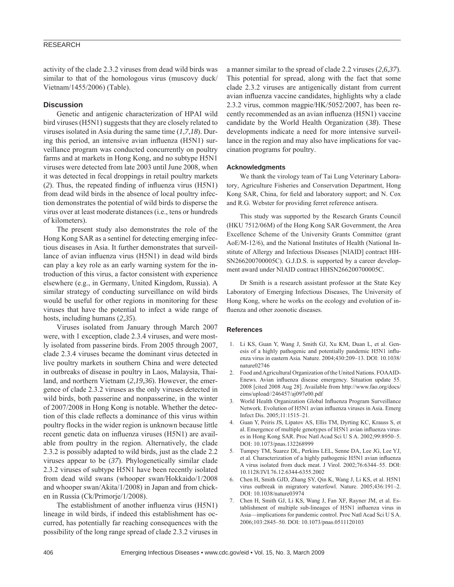# RESEARCH

activity of the clade 2.3.2 viruses from dead wild birds was similar to that of the homologous virus (muscovy duck/ Vietnam/1455/2006) (Table).

# **Discussion**

Genetic and antigenic characterization of HPAI wild bird viruses (H5N1) suggests that they are closely related to viruses isolated in Asia during the same time (*1*,*7*,*18*). During this period, an intensive avian influenza (H5N1) surveillance program was conducted concurrently on poultry farms and at markets in Hong Kong, and no subtype H5N1 viruses were detected from late 2003 until June 2008, when it was detected in fecal droppings in retail poultry markets  $(2)$ . Thus, the repeated finding of influenza virus  $(H5N1)$ from dead wild birds in the absence of local poultry infection demonstrates the potential of wild birds to disperse the virus over at least moderate distances (i.e., tens or hundreds of kilometers).

The present study also demonstrates the role of the Hong Kong SAR as a sentinel for detecting emerging infectious diseases in Asia. It further demonstrates that surveillance of avian influenza virus (H5N1) in dead wild birds can play a key role as an early warning system for the introduction of this virus, a factor consistent with experience elsewhere (e.g., in Germany, United Kingdom, Russia). A similar strategy of conducting surveillance on wild birds would be useful for other regions in monitoring for these viruses that have the potential to infect a wide range of hosts, including humans (*2*,*35*).

Viruses isolated from January through March 2007 were, with 1 exception, clade 2.3.4 viruses, and were mostly isolated from passerine birds. From 2005 through 2007, clade 2.3.4 viruses became the dominant virus detected in live poultry markets in southern China and were detected in outbreaks of disease in poultry in Laos, Malaysia, Thailand, and northern Vietnam (*2*,*19*,*36*). However, the emergence of clade 2.3.2 viruses as the only viruses detected in wild birds, both passerine and nonpasserine, in the winter of 2007/2008 in Hong Kong is notable. Whether the detection of this clade reflects a dominance of this virus within poultry flocks in the wider region is unknown because little recent genetic data on influenza viruses (H5N1) are available from poultry in the region. Alternatively, the clade 2.3.2 is possibly adapted to wild birds, just as the clade 2.2 viruses appear to be (*37*). Phylogenetically similar clade 2.3.2 viruses of subtype H5N1 have been recently isolated from dead wild swans (whooper swan/Hokkaido/1/2008 and whooper swan/Akita/1/2008) in Japan and from chicken in Russia (Ck/Primorje/1/2008).

The establishment of another influenza virus (H5N1) lineage in wild birds, if indeed this establishment has occurred, has potentially far reaching consequences with the possibility of the long range spread of clade 2.3.2 viruses in a manner similar to the spread of clade 2.2 viruses (*2*,*6*,*37*). This potential for spread, along with the fact that some clade 2.3.2 viruses are antigenically distant from current avian influenza vaccine candidates, highlights why a clade 2.3.2 virus, common magpie/HK/5052/2007, has been recently recommended as an avian influenza (H5N1) vaccine candidate by the World Health Organization (*38*). These developments indicate a need for more intensive surveillance in the region and may also have implications for vaccination programs for poultry.

#### **Acknowledgments**

We thank the virology team of Tai Lung Veterinary Laboratory, Agriculture Fisheries and Conservation Department, Hong Kong SAR, China, for field and laboratory support; and N. Cox and R.G. Webster for providing ferret reference antisera.

This study was supported by the Research Grants Council (HKU 7512/06M) of the Hong Kong SAR Government, the Area Excellence Scheme of the University Grants Committee (grant AoE/M-12/6), and the National Institutes of Health (National Institute of Allergy and Infectious Diseases [NIAID] contract HH-SN266200700005C). G.J.D.S. is supported by a career development award under NIAID contract HHSN266200700005C.

Dr Smith is a research assistant professor at the State Key Laboratory of Emerging Infectious Diseases, The University of Hong Kong, where he works on the ecology and evolution of influenza and other zoonotic diseases.

#### **References**

- 1. Li KS, Guan Y, Wang J, Smith GJ, Xu KM, Duan L, et al. Genesis of a highly pathogenic and potentially pandemic H5N1 influenza virus in eastern Asia. Nature. 2004;430:209–13. DOI: 10.1038/ nature02746
- 2. Food and Agricultural Organization of the United Nations. FOAAID-Enews. Avian influenza disease emergency. Situation update 55. 2008 [cited 2008 Aug 28]. Available from http://www.fao.org/docs/ eims/upload//246457/aj097e00.pdf
- 3. World Health Organization Global Influenza Program Surveillance Network. Evolution of H5N1 avian influenza viruses in Asia. Emerg Infect Dis. 2005;11:1515–21.
- 4. Guan Y, Peiris JS, Lipatov AS, Ellis TM, Dyrting KC, Krauss S, et al. Emergence of multiple genotypes of H5N1 avian influenza viruses in Hong Kong SAR. Proc Natl Acad Sci U S A. 2002;99:8950–5. DOI: 10.1073/pnas.132268999
- 5. Tumpey TM, Suarez DL, Perkins LEL, Senne DA, Lee JG, Lee YJ, et al. Characterization of a highly pathogenic H5N1 avian influenza A virus isolated from duck meat. J Virol. 2002;76:6344–55. DOI: 10.1128/JVI.76.12.6344-6355.2002
- 6. Chen H, Smith GJD, Zhang SY, Qin K, Wang J, Li KS, et al. H5N1 virus outbreak in migratory waterfowl. Nature. 2005;436:191–2. DOI: 10.1038/nature03974
- 7. Chen H, Smith GJ, Li KS, Wang J, Fan XF, Rayner JM, et al. Establishment of multiple sub-lineages of H5N1 influenza virus in Asia—implications for pandemic control. Proc Natl Acad Sci U S A. 2006;103:2845–50. DOI: 10.1073/pnas.0511120103